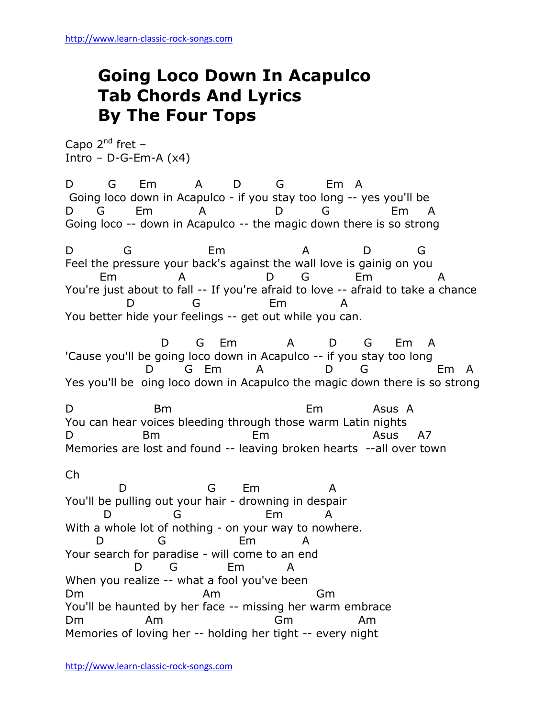## **Going Loco Down In Acapulco Tab Chords And Lyrics By The Four Tops**

Capo  $2^{nd}$  fret – Intro – D-G-Em-A $(x4)$ 

D G Em A D G Em A Going loco down in Acapulco - if you stay too long -- yes you'll be D G Em A D G Em A Going loco -- down in Acapulco -- the magic down there is so strong

D G Em A D G Feel the pressure your back's against the wall love is gainig on you Em A D G Em A You're just about to fall -- If you're afraid to love -- afraid to take a chance D G Em A You better hide your feelings -- get out while you can.

 D G Em A D G Em A 'Cause you'll be going loco down in Acapulco -- if you stay too long D G Em A D G Em A Yes you'll be oing loco down in Acapulco the magic down there is so strong

D Bm Em Asus A You can hear voices bleeding through those warm Latin nights D Bm Em Asus A7 Memories are lost and found -- leaving broken hearts --all over town

Ch

 D G Em A You'll be pulling out your hair - drowning in despair D G Em A With a whole lot of nothing - on your way to nowhere. D G Em A Your search for paradise - will come to an end D G Em When you realize -- what a fool you've been Dm Am Gm You'll be haunted by her face -- missing her warm embrace Dm Am Gm Am Memories of loving her -- holding her tight -- every night